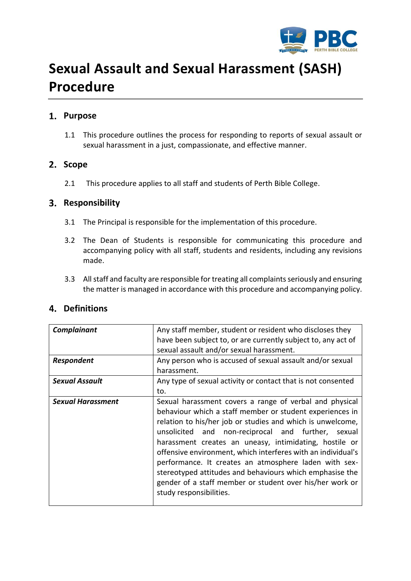

# **Sexual Assault and Sexual Harassment (SASH) Procedure**

## **Purpose**

1.1 This procedure outlines the process for responding to reports of sexual assault or sexual harassment in a just, compassionate, and effective manner.

## 2. Scope

2.1 This procedure applies to all staff and students of Perth Bible College.

## **Responsibility**

- 3.1 The Principal is responsible for the implementation of this procedure.
- 3.2 The Dean of Students is responsible for communicating this procedure and accompanying policy with all staff, students and residents, including any revisions made.
- 3.3 All staff and faculty are responsible for treating all complaints seriously and ensuring the matter is managed in accordance with this procedure and accompanying policy.

## **Definitions**

| Complainant              | Any staff member, student or resident who discloses they                                                              |  |  |  |
|--------------------------|-----------------------------------------------------------------------------------------------------------------------|--|--|--|
|                          | have been subject to, or are currently subject to, any act of                                                         |  |  |  |
|                          | sexual assault and/or sexual harassment.                                                                              |  |  |  |
| <b>Respondent</b>        | Any person who is accused of sexual assault and/or sexual                                                             |  |  |  |
|                          | harassment.                                                                                                           |  |  |  |
| <b>Sexual Assault</b>    | Any type of sexual activity or contact that is not consented                                                          |  |  |  |
|                          | to.                                                                                                                   |  |  |  |
| <b>Sexual Harassment</b> | Sexual harassment covers a range of verbal and physical                                                               |  |  |  |
|                          | behaviour which a staff member or student experiences in                                                              |  |  |  |
|                          | relation to his/her job or studies and which is unwelcome,                                                            |  |  |  |
|                          | unsolicited and<br>non-reciprocal and further, sexual                                                                 |  |  |  |
|                          | harassment creates an uneasy, intimidating, hostile or                                                                |  |  |  |
|                          | offensive environment, which interferes with an individual's<br>performance. It creates an atmosphere laden with sex- |  |  |  |
|                          |                                                                                                                       |  |  |  |
|                          | stereotyped attitudes and behaviours which emphasise the                                                              |  |  |  |
|                          | gender of a staff member or student over his/her work or                                                              |  |  |  |
|                          | study responsibilities.                                                                                               |  |  |  |
|                          |                                                                                                                       |  |  |  |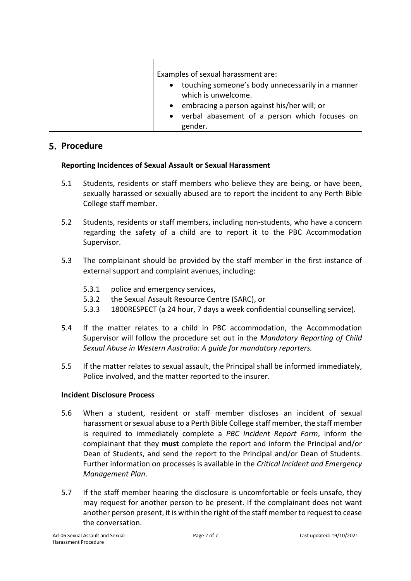| Examples of sexual harassment are:                  |
|-----------------------------------------------------|
| • touching someone's body unnecessarily in a manner |
| which is unwelcome.                                 |
| • embracing a person against his/her will; or       |
| • verbal abasement of a person which focuses on     |
| gender.                                             |

### **5. Procedure**

#### **Reporting Incidences of Sexual Assault or Sexual Harassment**

- 5.1 Students, residents or staff members who believe they are being, or have been, sexually harassed or sexually abused are to report the incident to any Perth Bible College staff member.
- 5.2 Students, residents or staff members, including non-students, who have a concern regarding the safety of a child are to report it to the PBC Accommodation Supervisor.
- 5.3 The complainant should be provided by the staff member in the first instance of external support and complaint avenues, including:
	- 5.3.1 police and emergency services,
	- 5.3.2 the Sexual Assault Resource Centre (SARC), or
	- 5.3.3 1800RESPECT (a 24 hour, 7 days a week confidential counselling service).
- 5.4 If the matter relates to a child in PBC accommodation, the Accommodation Supervisor will follow the procedure set out in the *Mandatory Reporting of Child Sexual Abuse in Western Australia: A guide for mandatory reporters.*
- 5.5 If the matter relates to sexual assault, the Principal shall be informed immediately, Police involved, and the matter reported to the insurer.

#### **Incident Disclosure Process**

- 5.6 When a student, resident or staff member discloses an incident of sexual harassment or sexual abuse to a Perth Bible College staff member, the staff member is required to immediately complete a *PBC Incident Report Form*, inform the complainant that they **must** complete the report and inform the Principal and/or Dean of Students, and send the report to the Principal and/or Dean of Students. Further information on processes is available in the *Critical Incident and Emergency Management Plan*.
- 5.7 If the staff member hearing the disclosure is uncomfortable or feels unsafe, they may request for another person to be present. If the complainant does not want another person present, it is within the right of the staff member to request to cease the conversation.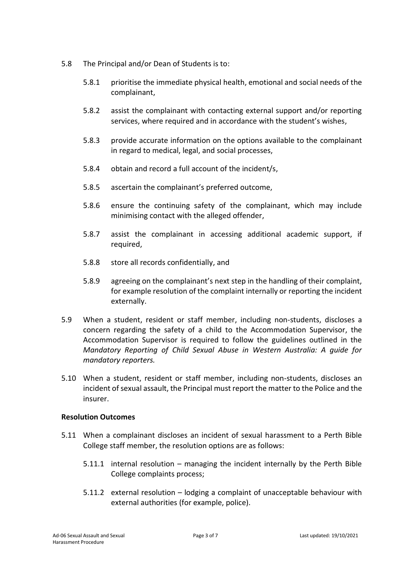- 5.8 The Principal and/or Dean of Students is to:
	- 5.8.1 prioritise the immediate physical health, emotional and social needs of the complainant,
	- 5.8.2 assist the complainant with contacting external support and/or reporting services, where required and in accordance with the student's wishes,
	- 5.8.3 provide accurate information on the options available to the complainant in regard to medical, legal, and social processes,
	- 5.8.4 obtain and record a full account of the incident/s,
	- 5.8.5 ascertain the complainant's preferred outcome,
	- 5.8.6 ensure the continuing safety of the complainant, which may include minimising contact with the alleged offender,
	- 5.8.7 assist the complainant in accessing additional academic support, if required,
	- 5.8.8 store all records confidentially, and
	- 5.8.9 agreeing on the complainant's next step in the handling of their complaint, for example resolution of the complaint internally or reporting the incident externally.
- 5.9 When a student, resident or staff member, including non-students, discloses a concern regarding the safety of a child to the Accommodation Supervisor, the Accommodation Supervisor is required to follow the guidelines outlined in the *Mandatory Reporting of Child Sexual Abuse in Western Australia: A guide for mandatory reporters.*
- 5.10 When a student, resident or staff member, including non-students, discloses an incident of sexual assault, the Principal must report the matter to the Police and the insurer.

#### **Resolution Outcomes**

- 5.11 When a complainant discloses an incident of sexual harassment to a Perth Bible College staff member, the resolution options are as follows:
	- 5.11.1 internal resolution managing the incident internally by the Perth Bible College complaints process;
	- 5.11.2 external resolution lodging a complaint of unacceptable behaviour with external authorities (for example, police).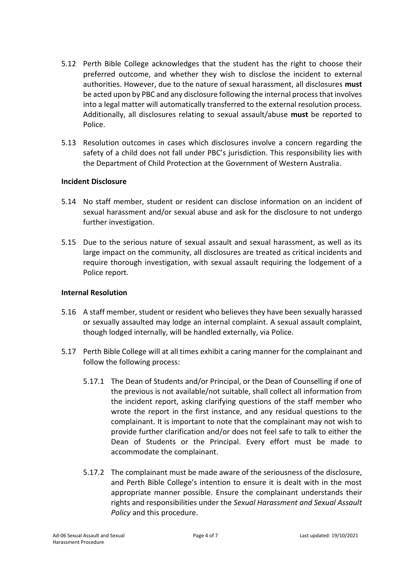- 5.12 Perth Bible College acknowledges that the student has the right to choose their preferred outcome, and whether they wish to disclose the incident to external authorities. However, due to the nature of sexual harassment, all disclosures **must** be acted upon by PBC and any disclosure following the internal process that involves into a legal matter will automatically transferred to the external resolution process. Additionally, all disclosures relating to sexual assault/abuse **must** be reported to Police.
- 5.13 Resolution outcomes in cases which disclosures involve a concern regarding the safety of a child does not fall under PBC's jurisdiction. This responsibility lies with the Department of Child Protection at the Government of Western Australia.

#### **Incident Disclosure**

- 5.14 No staff member, student or resident can disclose information on an incident of sexual harassment and/or sexual abuse and ask for the disclosure to not undergo further investigation.
- 5.15 Due to the serious nature of sexual assault and sexual harassment, as well as its large impact on the community, all disclosures are treated as critical incidents and require thorough investigation, with sexual assault requiring the lodgement of a Police report.

#### **Internal Resolution**

- 5.16 A staff member, student or resident who believes they have been sexually harassed or sexually assaulted may lodge an internal complaint. A sexual assault complaint, though lodged internally, will be handled externally, via Police.
- 5.17 Perth Bible College will at all times exhibit a caring manner for the complainant and follow the following process:
	- 5.17.1 The Dean of Students and/or Principal, or the Dean of Counselling if one of the previous is not available/not suitable, shall collect all information from the incident report, asking clarifying questions of the staff member who wrote the report in the first instance, and any residual questions to the complainant. It is important to note that the complainant may not wish to provide further clarification and/or does not feel safe to talk to either the Dean of Students or the Principal. Every effort must be made to accommodate the complainant.
	- 5.17.2 The complainant must be made aware of the seriousness of the disclosure, and Perth Bible College's intention to ensure it is dealt with in the most appropriate manner possible. Ensure the complainant understands their rights and responsibilities under the *Sexual Harassment and Sexual Assault Policy* and this procedure.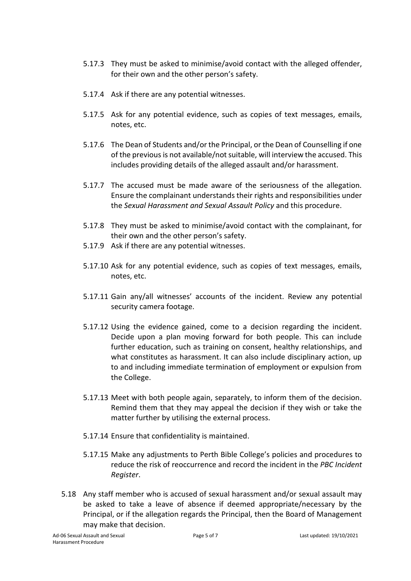- 5.17.3 They must be asked to minimise/avoid contact with the alleged offender, for their own and the other person's safety.
- 5.17.4 Ask if there are any potential witnesses.
- 5.17.5 Ask for any potential evidence, such as copies of text messages, emails, notes, etc.
- 5.17.6 The Dean of Students and/or the Principal, or the Dean of Counselling if one of the previous is not available/not suitable, will interview the accused. This includes providing details of the alleged assault and/or harassment.
- 5.17.7 The accused must be made aware of the seriousness of the allegation. Ensure the complainant understands their rights and responsibilities under the *Sexual Harassment and Sexual Assault Policy* and this procedure.
- 5.17.8 They must be asked to minimise/avoid contact with the complainant, for their own and the other person's safety.
- 5.17.9 Ask if there are any potential witnesses.
- 5.17.10 Ask for any potential evidence, such as copies of text messages, emails, notes, etc.
- 5.17.11 Gain any/all witnesses' accounts of the incident. Review any potential security camera footage.
- 5.17.12 Using the evidence gained, come to a decision regarding the incident. Decide upon a plan moving forward for both people. This can include further education, such as training on consent, healthy relationships, and what constitutes as harassment. It can also include disciplinary action, up to and including immediate termination of employment or expulsion from the College.
- 5.17.13 Meet with both people again, separately, to inform them of the decision. Remind them that they may appeal the decision if they wish or take the matter further by utilising the external process.
- 5.17.14 Ensure that confidentiality is maintained.
- 5.17.15 Make any adjustments to Perth Bible College's policies and procedures to reduce the risk of reoccurrence and record the incident in the *PBC Incident Register*.
- 5.18 Any staff member who is accused of sexual harassment and/or sexual assault may be asked to take a leave of absence if deemed appropriate/necessary by the Principal, or if the allegation regards the Principal, then the Board of Management may make that decision.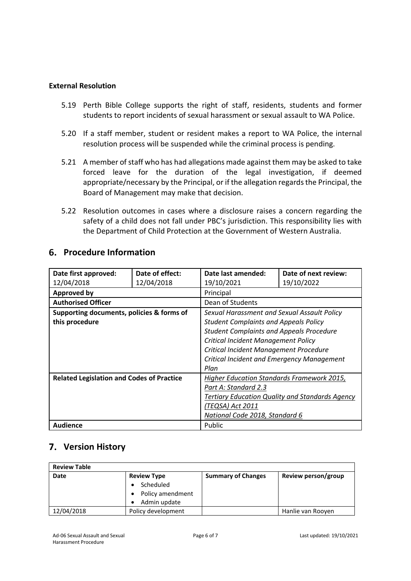#### **External Resolution**

- 5.19 Perth Bible College supports the right of staff, residents, students and former students to report incidents of sexual harassment or sexual assault to WA Police.
- 5.20 If a staff member, student or resident makes a report to WA Police, the internal resolution process will be suspended while the criminal process is pending.
- 5.21 A member of staff who has had allegations made against them may be asked to take forced leave for the duration of the legal investigation, if deemed appropriate/necessary by the Principal, or if the allegation regards the Principal, the Board of Management may make that decision.
- 5.22 Resolution outcomes in cases where a disclosure raises a concern regarding the safety of a child does not fall under PBC's jurisdiction. This responsibility lies with the Department of Child Protection at the Government of Western Australia.

| Date first approved:                             | Date of effect: | Date last amended:                                | Date of next review:                                   |
|--------------------------------------------------|-----------------|---------------------------------------------------|--------------------------------------------------------|
| 12/04/2018                                       | 12/04/2018      | 19/10/2021                                        | 19/10/2022                                             |
| <b>Approved by</b>                               |                 | Principal                                         |                                                        |
| <b>Authorised Officer</b>                        |                 | Dean of Students                                  |                                                        |
| Supporting documents, policies & forms of        |                 | Sexual Harassment and Sexual Assault Policy       |                                                        |
| this procedure                                   |                 | <b>Student Complaints and Appeals Policy</b>      |                                                        |
|                                                  |                 | <b>Student Complaints and Appeals Procedure</b>   |                                                        |
|                                                  |                 | <b>Critical Incident Management Policy</b>        |                                                        |
|                                                  |                 | Critical Incident Management Procedure            |                                                        |
|                                                  |                 | Critical Incident and Emergency Management        |                                                        |
|                                                  |                 | Plan                                              |                                                        |
| <b>Related Legislation and Codes of Practice</b> |                 | <b>Higher Education Standards Framework 2015,</b> |                                                        |
|                                                  |                 | Part A: Standard 2.3                              |                                                        |
|                                                  |                 |                                                   | <b>Tertiary Education Quality and Standards Agency</b> |
|                                                  |                 | (TEQSA) Act 2011                                  |                                                        |
|                                                  |                 | National Code 2018, Standard 6                    |                                                        |
| Audience                                         |                 | Public                                            |                                                        |

## **Procedure Information**

# **Version History**

| <b>Review Table</b> |                        |                           |                     |  |  |
|---------------------|------------------------|---------------------------|---------------------|--|--|
| Date                | <b>Review Type</b>     | <b>Summary of Changes</b> | Review person/group |  |  |
|                     | Scheduled<br>$\bullet$ |                           |                     |  |  |
|                     | Policy amendment       |                           |                     |  |  |
|                     | Admin update           |                           |                     |  |  |
| 12/04/2018          | Policy development     |                           | Hanlie van Rooyen   |  |  |